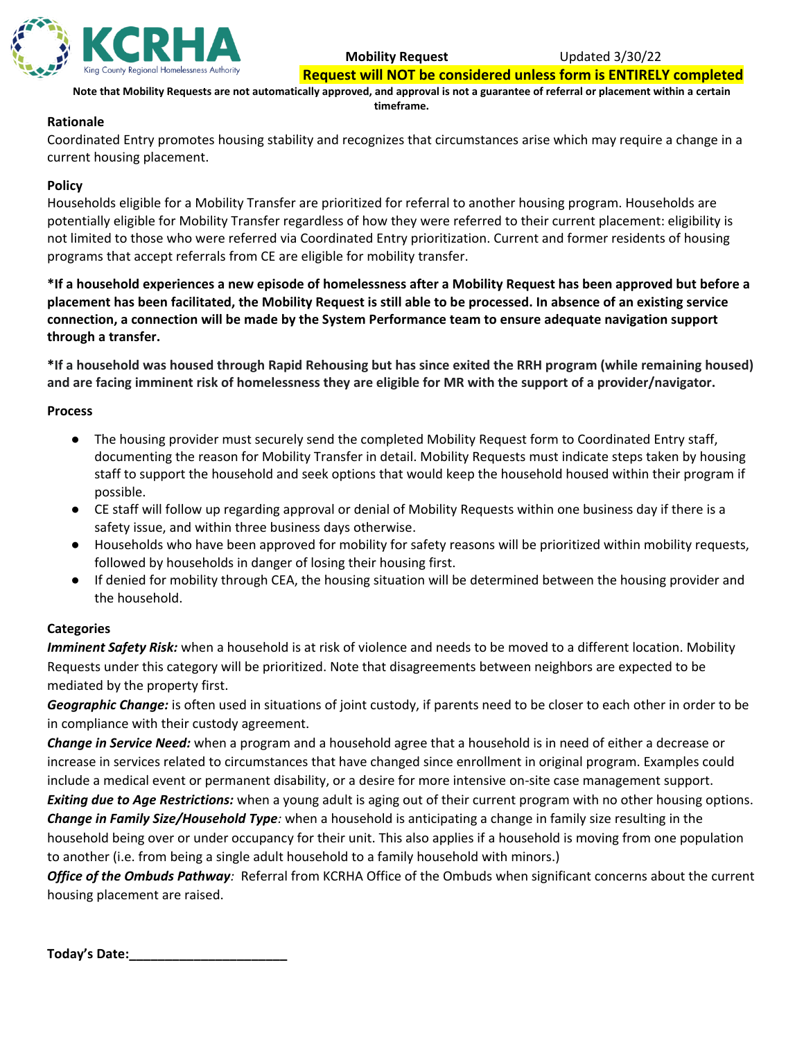

**Mobility Request** Updated 3/30/22

**Request will NOT be considered unless form is ENTIRELY completed**

**Note that Mobility Requests are not automatically approved, and approval is not a guarantee of referral or placement within a certain timeframe.**

# **Rationale**

Coordinated Entry promotes housing stability and recognizes that circumstances arise which may require a change in a current housing placement.

# **Policy**

Households eligible for a Mobility Transfer are prioritized for referral to another housing program. Households are potentially eligible for Mobility Transfer regardless of how they were referred to their current placement: eligibility is not limited to those who were referred via Coordinated Entry prioritization. Current and former residents of housing programs that accept referrals from CE are eligible for mobility transfer.

**\*If a household experiences a new episode of homelessness after a Mobility Request has been approved but before a placement has been facilitated, the Mobility Request is still able to be processed. In absence of an existing service connection, a connection will be made by the System Performance team to ensure adequate navigation support through a transfer.**

**\*If a household was housed through Rapid Rehousing but has since exited the RRH program (while remaining housed) and are facing imminent risk of homelessness they are eligible for MR with the support of a provider/navigator.**

## **Process**

- The housing provider must securely send the completed Mobility Request form to Coordinated Entry staff, documenting the reason for Mobility Transfer in detail. Mobility Requests must indicate steps taken by housing staff to support the household and seek options that would keep the household housed within their program if possible.
- CE staff will follow up regarding approval or denial of Mobility Requests within one business day if there is a safety issue, and within three business days otherwise.
- Households who have been approved for mobility for safety reasons will be prioritized within mobility requests, followed by households in danger of losing their housing first.
- If denied for mobility through CEA, the housing situation will be determined between the housing provider and the household.

# **Categories**

*Imminent Safety Risk:* when a household is at risk of violence and needs to be moved to a different location. Mobility Requests under this category will be prioritized. Note that disagreements between neighbors are expected to be mediated by the property first.

*Geographic Change:* is often used in situations of joint custody, if parents need to be closer to each other in order to be in compliance with their custody agreement.

*Change in Service Need:* when a program and a household agree that a household is in need of either a decrease or increase in services related to circumstances that have changed since enrollment in original program. Examples could include a medical event or permanent disability, or a desire for more intensive on-site case management support.

*Exiting due to Age Restrictions:* when a young adult is aging out of their current program with no other housing options. *Change in Family Size/Household Type:* when a household is anticipating a change in family size resulting in the

household being over or under occupancy for their unit. This also applies if a household is moving from one population to another (i.e. from being a single adult household to a family household with minors.)

*Office of the Ombuds Pathway:* Referral from KCRHA Office of the Ombuds when significant concerns about the current housing placement are raised.

**Today's Date:\_\_\_\_\_\_\_\_\_\_\_\_\_\_\_\_\_\_\_\_\_\_**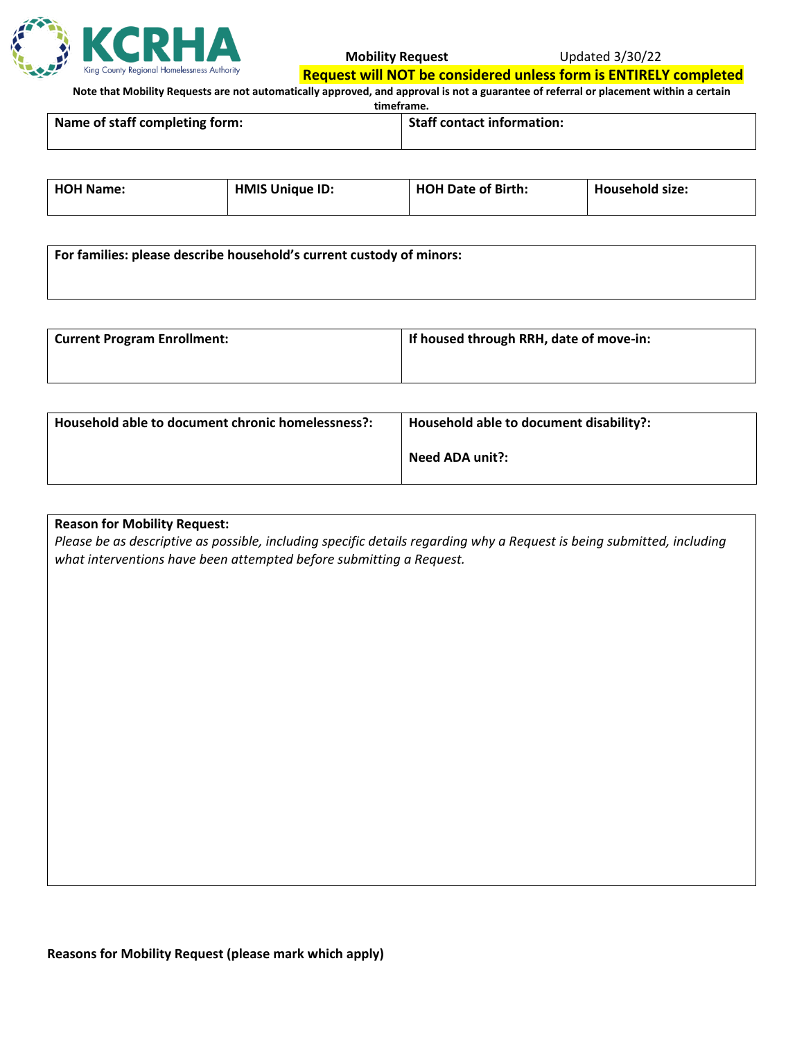

#### **Mobility Request** Updated 3/30/22

**Request will NOT be considered unless form is ENTIRELY completed**

**Note that Mobility Requests are not automatically approved, and approval is not a guarantee of referral or placement within a certain** 

**timeframe.**

| Name of staff completing form: | <b>Staff contact information:</b> |  |
|--------------------------------|-----------------------------------|--|
|                                |                                   |  |

| <b>HOH Name:</b> | <b>HMIS Unique ID:</b> | <b>HOH Date of Birth:</b> | <b>Household size:</b> |
|------------------|------------------------|---------------------------|------------------------|
|------------------|------------------------|---------------------------|------------------------|

| For families: please describe household's current custody of minors: |  |  |
|----------------------------------------------------------------------|--|--|
|                                                                      |  |  |

| <sup>1</sup> Current Program Enrollment: | If housed through RRH, date of move-in: |
|------------------------------------------|-----------------------------------------|
|                                          |                                         |

| Household able to document chronic homelessness?: | Household able to document disability?: |  |
|---------------------------------------------------|-----------------------------------------|--|
|                                                   | Need ADA unit?:                         |  |

## **Reason for Mobility Request:**

*Please be as descriptive as possible, including specific details regarding why a Request is being submitted, including what interventions have been attempted before submitting a Request.*